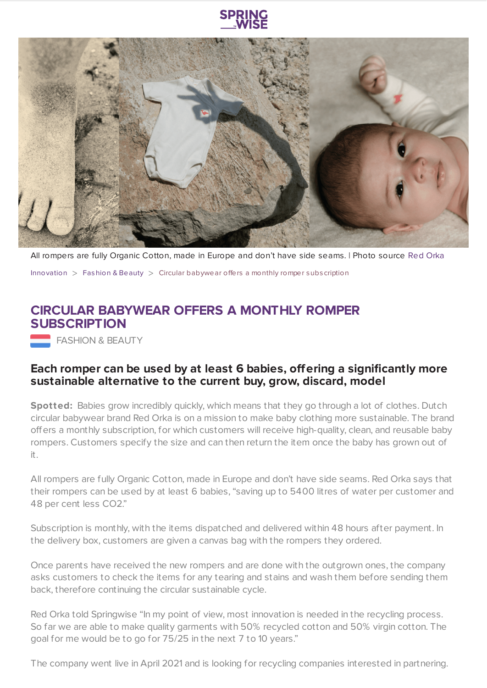

All rompers are fully Organic Cotton, made in Europe and don't have side seams. | Photo source Red [Orka](https://www.red-orka.com/)

[Innovation](https://www.springwise.com/search?type=innovation)  $>$  [Fashion](https://www.springwise.com/search?type=innovation§or=design-fashion-and-beauty) & Beauty  $>$  Circular babywear offers a monthly romper subscription

## **CIRCULAR BABYWEAR OFFERS A MONTHLY ROMPER SUBSCRIPTION**

**FASHION & BEAUTY** 

## **Each romper can be used by at least 6 babies, offering a significantly more sustainable alternative to the current buy, grow, discard, model**

Spotted: Babies grow incredibly quickly, which means that they go through a lot of clothes. Dutch circular babywear brand Red Orka is on a mission to make baby clothing more sustainable. The brand offers a monthly subscription, for which customers will receive high-quality, clean, and reusable baby rompers. Customers specify the size and can then return the item once the baby has grown out of it.

All rompers are fully Organic Cotton, made in Europe and don't have side seams. Red Orka says that their rompers can be used by at least 6 babies, "saving up to 5400 litres of water per customer and 48 per cent less CO2."

Subscription is monthly, with the items dispatched and delivered within 48 hours after payment. In the delivery box, customers are given a canvas bag with the rompers they ordered.

Once parents have received the new rompers and are done with the outgrown ones, the company asks customers to check the items for any tearing and stains and wash them before sending them back, therefore continuing the circular sustainable cycle.

Red Orka told Springwise "In my point of view, most innovation is needed in the recycling process. So far we are able to make quality garments with 50% recycled cotton and 50% virgin cotton. The goal for me would be to go for 75/25 in the next 7 to 10 years."

The company went live in April 2021 and is looking for recycling companies interested in partnering.